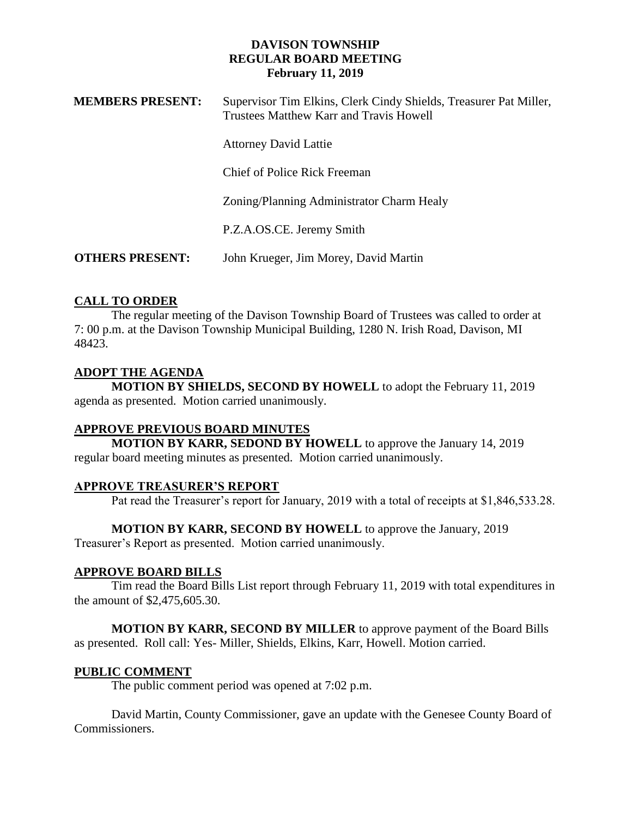| <b>MEMBERS PRESENT:</b> | Supervisor Tim Elkins, Clerk Cindy Shields, Treasurer Pat Miller,<br>Trustees Matthew Karr and Travis Howell |
|-------------------------|--------------------------------------------------------------------------------------------------------------|
|                         | <b>Attorney David Lattie</b>                                                                                 |
|                         | Chief of Police Rick Freeman                                                                                 |
|                         | Zoning/Planning Administrator Charm Healy                                                                    |
|                         | P.Z.A.OS.CE. Jeremy Smith                                                                                    |
| <b>OTHERS PRESENT:</b>  | John Krueger, Jim Morey, David Martin                                                                        |

# **CALL TO ORDER**

The regular meeting of the Davison Township Board of Trustees was called to order at 7: 00 p.m. at the Davison Township Municipal Building, 1280 N. Irish Road, Davison, MI 48423.

## **ADOPT THE AGENDA**

**MOTION BY SHIELDS, SECOND BY HOWELL** to adopt the February 11, 2019 agenda as presented. Motion carried unanimously.

## **APPROVE PREVIOUS BOARD MINUTES**

**MOTION BY KARR, SEDOND BY HOWELL** to approve the January 14, 2019 regular board meeting minutes as presented. Motion carried unanimously.

# **APPROVE TREASURER'S REPORT**

Pat read the Treasurer's report for January, 2019 with a total of receipts at \$1,846,533.28.

# **MOTION BY KARR, SECOND BY HOWELL** to approve the January, 2019

Treasurer's Report as presented. Motion carried unanimously.

## **APPROVE BOARD BILLS**

Tim read the Board Bills List report through February 11, 2019 with total expenditures in the amount of \$2,475,605.30.

**MOTION BY KARR, SECOND BY MILLER** to approve payment of the Board Bills as presented. Roll call: Yes- Miller, Shields, Elkins, Karr, Howell. Motion carried.

## **PUBLIC COMMENT**

The public comment period was opened at 7:02 p.m.

David Martin, County Commissioner, gave an update with the Genesee County Board of Commissioners.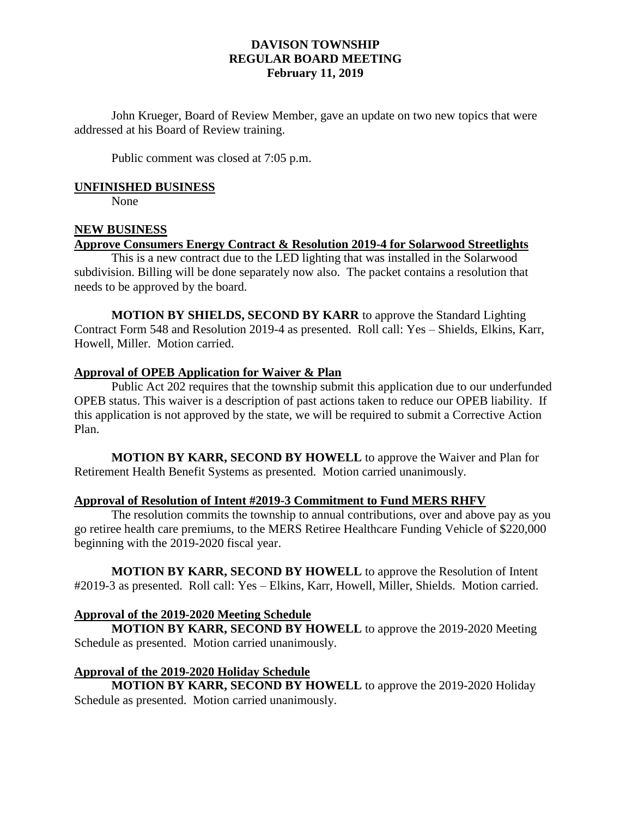John Krueger, Board of Review Member, gave an update on two new topics that were addressed at his Board of Review training.

Public comment was closed at 7:05 p.m.

#### **UNFINISHED BUSINESS**

None

#### **NEW BUSINESS Approve Consumers Energy Contract & Resolution 2019-4 for Solarwood Streetlights**

This is a new contract due to the LED lighting that was installed in the Solarwood subdivision. Billing will be done separately now also. The packet contains a resolution that needs to be approved by the board.

**MOTION BY SHIELDS, SECOND BY KARR** to approve the Standard Lighting Contract Form 548 and Resolution 2019-4 as presented. Roll call: Yes – Shields, Elkins, Karr, Howell, Miller. Motion carried.

#### **Approval of OPEB Application for Waiver & Plan**

Public Act 202 requires that the township submit this application due to our underfunded OPEB status. This waiver is a description of past actions taken to reduce our OPEB liability. If this application is not approved by the state, we will be required to submit a Corrective Action Plan.

**MOTION BY KARR, SECOND BY HOWELL** to approve the Waiver and Plan for Retirement Health Benefit Systems as presented. Motion carried unanimously.

#### **Approval of Resolution of Intent #2019-3 Commitment to Fund MERS RHFV**

The resolution commits the township to annual contributions, over and above pay as you go retiree health care premiums, to the MERS Retiree Healthcare Funding Vehicle of \$220,000 beginning with the 2019-2020 fiscal year.

**MOTION BY KARR, SECOND BY HOWELL** to approve the Resolution of Intent #2019-3 as presented. Roll call: Yes – Elkins, Karr, Howell, Miller, Shields. Motion carried.

## **Approval of the 2019-2020 Meeting Schedule**

**MOTION BY KARR, SECOND BY HOWELL** to approve the 2019-2020 Meeting Schedule as presented. Motion carried unanimously.

#### **Approval of the 2019-2020 Holiday Schedule**

**MOTION BY KARR, SECOND BY HOWELL** to approve the 2019-2020 Holiday Schedule as presented. Motion carried unanimously.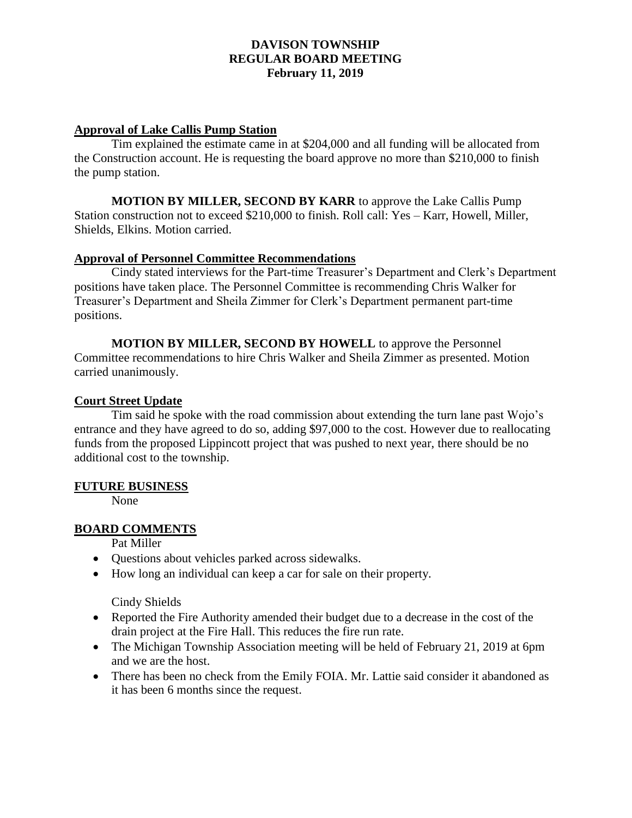## **Approval of Lake Callis Pump Station**

Tim explained the estimate came in at \$204,000 and all funding will be allocated from the Construction account. He is requesting the board approve no more than \$210,000 to finish the pump station.

**MOTION BY MILLER, SECOND BY KARR** to approve the Lake Callis Pump Station construction not to exceed \$210,000 to finish. Roll call: Yes – Karr, Howell, Miller, Shields, Elkins. Motion carried.

## **Approval of Personnel Committee Recommendations**

Cindy stated interviews for the Part-time Treasurer's Department and Clerk's Department positions have taken place. The Personnel Committee is recommending Chris Walker for Treasurer's Department and Sheila Zimmer for Clerk's Department permanent part-time positions.

**MOTION BY MILLER, SECOND BY HOWELL** to approve the Personnel Committee recommendations to hire Chris Walker and Sheila Zimmer as presented. Motion carried unanimously.

## **Court Street Update**

Tim said he spoke with the road commission about extending the turn lane past Wojo's entrance and they have agreed to do so, adding \$97,000 to the cost. However due to reallocating funds from the proposed Lippincott project that was pushed to next year, there should be no additional cost to the township.

## **FUTURE BUSINESS**

None

# **BOARD COMMENTS**

Pat Miller

- Questions about vehicles parked across sidewalks.
- How long an individual can keep a car for sale on their property.

Cindy Shields

- Reported the Fire Authority amended their budget due to a decrease in the cost of the drain project at the Fire Hall. This reduces the fire run rate.
- The Michigan Township Association meeting will be held of February 21, 2019 at 6pm and we are the host.
- There has been no check from the Emily FOIA. Mr. Lattie said consider it abandoned as it has been 6 months since the request.